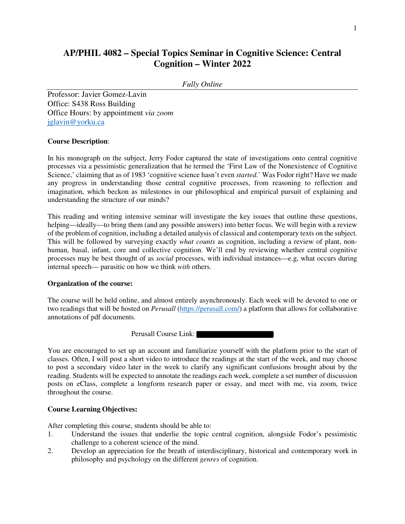# **AP/PHIL 4082 – Special Topics Seminar in Cognitive Science: Central Cognition – Winter 2022**

## *Fully Online*

Professor: Javier Gomez-Lavin Office: S438 Ross Building Office Hours: by appointment *via zoom*  jglavin@yorku.ca

#### **Course Description**:

In his monograph on the subject, Jerry Fodor captured the state of investigations onto central cognitive processes via a pessimistic generalization that he termed the 'First Law of the Nonexistence of Cognitive Science,' claiming that as of 1983 'cognitive science hasn't even *started.*' Was Fodor right? Have we made any progress in understanding those central cognitive processes, from reasoning to reflection and imagination, which beckon as milestones in our philosophical and empirical pursuit of explaining and understanding the structure of our minds?

This reading and writing intensive seminar will investigate the key issues that outline these questions, helping—ideally—to bring them (and any possible answers) into better focus. We will begin with a review of the problem of cognition, including a detailed analysis of classical and contemporary texts on the subject. This will be followed by surveying exactly *what counts* as cognition, including a review of plant, nonhuman, basal, infant, core and collective cognition. We'll end by reviewing whether central cognitive processes may be best thought of as *social* processes, with individual instances—e.g, what occurs during internal speech— parasitic on how we think *with* others.

#### **Organization of the course:**

The course will be held online, and almost entirely asynchronously. Each week will be devoted to one or two readings that will be hosted on *Perusall* (https://perusall.com/) a platform that allows for collaborative annotations of pdf documents.

Perusall Course Link:

You are encouraged to set up an account and familiarize yourself with the platform prior to the start of classes. Often, I will post a short video to introduce the readings at the start of the week, and may choose to post a secondary video later in the week to clarify any significant confusions brought about by the reading. Students will be expected to annotate the readings each week, complete a set number of discussion posts on eClass, complete a longform research paper or essay, and meet with me, via zoom, twice throughout the course.

#### **Course Learning Objectives:**

After completing this course, students should be able to:

- 1. Understand the issues that underlie the topic central cognition, alongside Fodor's pessimistic challenge to a coherent science of the mind.
- 2. Develop an appreciation for the breath of interdisciplinary, historical and contemporary work in philosophy and psychology on the different *genres* of cognition.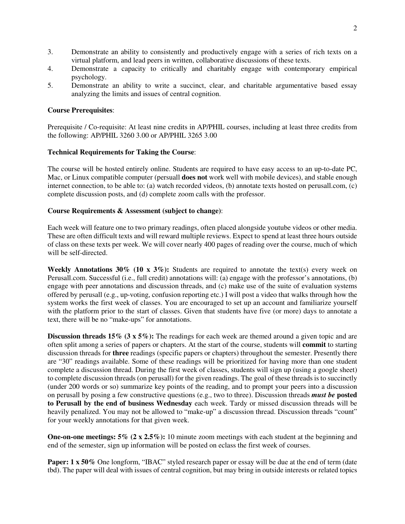- 3. Demonstrate an ability to consistently and productively engage with a series of rich texts on a virtual platform, and lead peers in written, collaborative discussions of these texts.
- 4. Demonstrate a capacity to critically and charitably engage with contemporary empirical psychology.
- 5. Demonstrate an ability to write a succinct, clear, and charitable argumentative based essay analyzing the limits and issues of central cognition.

#### **Course Prerequisites**:

Prerequisite / Co-requisite: At least nine credits in AP/PHIL courses, including at least three credits from the following: AP/PHIL 3260 3.00 or AP/PHIL 3265 3.00

#### **Technical Requirements for Taking the Course**:

The course will be hosted entirely online. Students are required to have easy access to an up-to-date PC, Mac, or Linux compatible computer (persuall **does not** work well with mobile devices), and stable enough internet connection, to be able to: (a) watch recorded videos, (b) annotate texts hosted on perusall.com, (c) complete discussion posts, and (d) complete zoom calls with the professor.

#### **Course Requirements & Assessment (subject to change)**:

Each week will feature one to two primary readings, often placed alongside youtube videos or other media. These are often difficult texts and will reward multiple reviews. Expect to spend at least three hours outside of class on these texts per week. We will cover nearly 400 pages of reading over the course, much of which will be self-directed.

Weekly Annotations 30% (10 x 3%): Students are required to annotate the text(s) every week on Perusall.com. Successful (i.e., full credit) annotations will: (a) engage with the professor's annotations, (b) engage with peer annotations and discussion threads, and (c) make use of the suite of evaluation systems offered by perusall (e.g., up-voting, confusion reporting etc.) I will post a video that walks through how the system works the first week of classes. You are encouraged to set up an account and familiarize yourself with the platform prior to the start of classes. Given that students have five (or more) days to annotate a text, there will be no "make-ups" for annotations.

**Discussion threads 15% (3 x 5%):** The readings for each week are themed around a given topic and are often split among a series of papers or chapters. At the start of the course, students will **commit** to starting discussion threads for **three** readings (specific papers or chapters) throughout the semester. Presently there are "30" readings available. Some of these readings will be prioritized for having more than one student complete a discussion thread. During the first week of classes, students will sign up (using a google sheet) to complete discussion threads (on perusall) for the given readings. The goal of these threads is to succinctly (under 200 words or so) summarize key points of the reading, and to prompt your peers into a discussion on perusall by posing a few constructive questions (e.g., two to three). Discussion threads *must be* **posted to Perusall by the end of business Wednesday** each week. Tardy or missed discussion threads will be heavily penalized. You may not be allowed to "make-up" a discussion thread. Discussion threads "count" for your weekly annotations for that given week.

**One-on-one meetings: 5% (2 x 2.5%):** 10 minute zoom meetings with each student at the beginning and end of the semester, sign up information will be posted on eclass the first week of courses.

Paper: 1 x 50% One longform, "IBAC" styled research paper or essay will be due at the end of term (date tbd). The paper will deal with issues of central cognition, but may bring in outside interests or related topics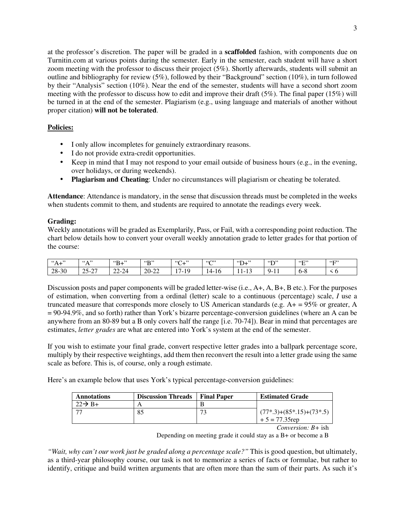at the professor's discretion. The paper will be graded in a **scaffolded** fashion, with components due on Turnitin.com at various points during the semester. Early in the semester, each student will have a short zoom meeting with the professor to discuss their project (5%). Shortly afterwards, students will submit an outline and bibliography for review (5%), followed by their "Background" section (10%), in turn followed by their "Analysis" section (10%). Near the end of the semester, students will have a second short zoom meeting with the professor to discuss how to edit and improve their draft (5%). The final paper (15%) will be turned in at the end of the semester. Plagiarism (e.g., using language and materials of another without proper citation) **will not be tolerated**.

# **Policies:**

- I only allow incompletes for genuinely extraordinary reasons.
- I do not provide extra-credit opportunities.
- Keep in mind that I may not respond to your email outside of business hours (e.g., in the evening, over holidays, or during weekends).
- **Plagiarism and Cheating**: Under no circumstances will plagiarism or cheating be tolerated.

**Attendance**: Attendance is mandatory, in the sense that discussion threads must be completed in the weeks when students commit to them, and students are required to annotate the readings every week.

## **Grading:**

Weekly annotations will be graded as Exemplarily, Pass, or Fail, with a corresponding point reduction. The chart below details how to convert your overall weekly annotation grade to letter grades for that portion of the course:

| $\ddot{\phantom{a}}$<br>66 A<br>$\lambda$<br>71.T | $\left($ $\left($ $\wedge$ $\right)$ $\right)$<br>. .              | $\mathbf{B}^+$<br>$\cdots$ | 5522<br>∸ | $\cdots$<br>$\epsilon$<br>ັ         | (673)<br>∼ | 65<br>$\cdot$<br>$\boldsymbol{\nu}$ + | 55<br>∸           | $\mathfrak{c}_{\mathbf{C}}$<br>. . | $\cdot$ "F" |
|---------------------------------------------------|--------------------------------------------------------------------|----------------------------|-----------|-------------------------------------|------------|---------------------------------------|-------------------|------------------------------------|-------------|
| 28-30                                             | $\sim$<br>$\sim$ $\sim$<br>$\mathbf{v}$<br>- ب س<br>$\overline{a}$ | $22 - 24$                  | 20-22     | .1 Q<br>$\overline{ }$<br>. .<br>л, | -4<br>1 V  | $\sim$<br>. .<br>. .<br>. .           | -4 -<br>ч.<br>. . | . ნ-ბ                              | ั∪          |

Discussion posts and paper components will be graded letter-wise (i.e., A+, A, B+, B etc.). For the purposes of estimation, when converting from a ordinal (letter) scale to a continuous (percentage) scale, *I* use a truncated measure that corresponds more closely to US American standards (e.g. A+ = 95% or greater, A = 90-94.9%, and so forth) rather than York's bizarre percentage-conversion guidelines (where an A can be anywhere from an 80-89 but a B only covers half the range [i.e. 70-74]). Bear in mind that percentages are estimates, *letter grades* are what are entered into York's system at the end of the semester.

If you wish to estimate your final grade, convert respective letter grades into a ballpark percentage score, multiply by their respective weightings, add them then reconvert the result into a letter grade using the same scale as before. This is, of course, only a rough estimate.

Here's an example below that uses York's typical percentage-conversion guidelines:

| <b>Annotations</b>  | <b>Discussion Threads</b> | <b>Final Paper</b> | <b>Estimated Grade</b>     |
|---------------------|---------------------------|--------------------|----------------------------|
| $22 \rightarrow B+$ |                           |                    |                            |
|                     |                           | 73                 | $(77*,3)+(85*,15)+(73*,5)$ |
|                     |                           |                    | $+5 = 77.35$ rep           |

*Conversion: B+* ish

Depending on meeting grade it could stay as a B+ or become a B

*"Wait, why can't our work just be graded along a percentage scale?"* This is good question, but ultimately, as a third-year philosophy course, our task is not to memorize a series of facts or formulae, but rather to identify, critique and build written arguments that are often more than the sum of their parts. As such it's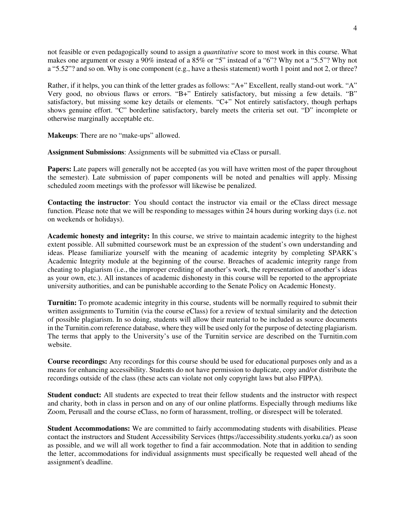not feasible or even pedagogically sound to assign a *quantitative* score to most work in this course. What makes one argument or essay a 90% instead of a 85% or "5" instead of a "6"? Why not a "5.5"? Why not a "5.52"? and so on. Why is one component (e.g., have a thesis statement) worth 1 point and not 2, or three?

Rather, if it helps, you can think of the letter grades as follows: "A+" Excellent, really stand-out work. "A" Very good, no obvious flaws or errors. "B+" Entirely satisfactory, but missing a few details. "B" satisfactory, but missing some key details or elements. "C+" Not entirely satisfactory, though perhaps shows genuine effort. "C" borderline satisfactory, barely meets the criteria set out. "D" incomplete or otherwise marginally acceptable etc.

**Makeups**: There are no "make-ups" allowed.

**Assignment Submissions**: Assignments will be submitted via eClass or pursall.

**Papers:** Late papers will generally not be accepted (as you will have written most of the paper throughout the semester). Late submission of paper components will be noted and penalties will apply. Missing scheduled zoom meetings with the professor will likewise be penalized.

**Contacting the instructor**: You should contact the instructor via email or the eClass direct message function. Please note that we will be responding to messages within 24 hours during working days (i.e. not on weekends or holidays).

**Academic honesty and integrity:** In this course, we strive to maintain academic integrity to the highest extent possible. All submitted coursework must be an expression of the student's own understanding and ideas. Please familiarize yourself with the meaning of academic integrity by completing SPARK's Academic Integrity module at the beginning of the course. Breaches of academic integrity range from cheating to plagiarism (i.e., the improper crediting of another's work, the representation of another's ideas as your own, etc.). All instances of academic dishonesty in this course will be reported to the appropriate university authorities, and can be punishable according to the Senate Policy on Academic Honesty.

**Turnitin:** To promote academic integrity in this course, students will be normally required to submit their written assignments to Turnitin (via the course eClass) for a review of textual similarity and the detection of possible plagiarism. In so doing, students will allow their material to be included as source documents in the Turnitin.com reference database, where they will be used only for the purpose of detecting plagiarism. The terms that apply to the University's use of the Turnitin service are described on the Turnitin.com website.

**Course recordings:** Any recordings for this course should be used for educational purposes only and as a means for enhancing accessibility. Students do not have permission to duplicate, copy and/or distribute the recordings outside of the class (these acts can violate not only copyright laws but also FIPPA).

**Student conduct:** All students are expected to treat their fellow students and the instructor with respect and charity, both in class in person and on any of our online platforms. Especially through mediums like Zoom, Perusall and the course eClass, no form of harassment, trolling, or disrespect will be tolerated.

**Student Accommodations:** We are committed to fairly accommodating students with disabilities. Please contact the instructors and Student Accessibility Services (https://accessibility.students.yorku.ca/) as soon as possible, and we will all work together to find a fair accommodation. Note that in addition to sending the letter, accommodations for individual assignments must specifically be requested well ahead of the assignment's deadline.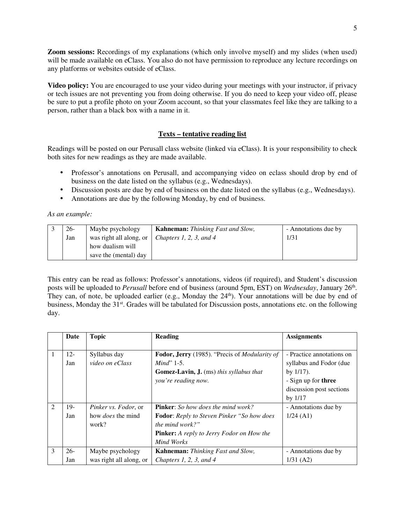**Zoom sessions:** Recordings of my explanations (which only involve myself) and my slides (when used) will be made available on eClass. You also do not have permission to reproduce any lecture recordings on any platforms or websites outside of eClass.

**Video policy:** You are encouraged to use your video during your meetings with your instructor, if privacy or tech issues are not preventing you from doing otherwise. If you do need to keep your video off, please be sure to put a profile photo on your Zoom account, so that your classmates feel like they are talking to a person, rather than a black box with a name in it.

# **Texts – tentative reading list**

Readings will be posted on our Perusall class website (linked via eClass). It is your responsibility to check both sites for new readings as they are made available.

- Professor's annotations on Perusall, and accompanying video on eclass should drop by end of business on the date listed on the syllabus (e.g., Wednesdays).
- Discussion posts are due by end of business on the date listed on the syllabus (e.g., Wednesdays).
- Annotations are due by the following Monday, by end of business.

*As an example:* 

| 26- | Maybe psychology        | <b>Kahneman:</b> Thinking Fast and Slow, | - Annotations due by |
|-----|-------------------------|------------------------------------------|----------------------|
| Jan | was right all along, or | Chapters 1, 2, 3, and 4                  | 1/31                 |
|     | how dualism will        |                                          |                      |
|     | save the (mental) day   |                                          |                      |

This entry can be read as follows: Professor's annotations, videos (if required), and Student's discussion posts will be uploaded to *Perusall* before end of business (around 5pm, EST) on *Wednesday*, January 26<sup>th</sup>. They can, of note, be uploaded earlier (e.g., Monday the 24<sup>th</sup>). Your annotations will be due by end of business, Monday the 31<sup>st</sup>. Grades will be tabulated for Discussion posts, annotations etc. on the following day.

|                             | Date   | <b>Topic</b>                | <b>Reading</b>                                     | <b>Assignments</b>         |
|-----------------------------|--------|-----------------------------|----------------------------------------------------|----------------------------|
|                             |        |                             |                                                    |                            |
|                             | $12 -$ | Syllabus day                | Fodor, Jerry (1985). "Precis of Modularity of      | - Practice annotations on  |
|                             | Jan    | video on eClass             | $Mind$ " 1-5.                                      | syllabus and Fodor (due    |
|                             |        |                             | <b>Gomez-Lavin, J.</b> (ms) this syllabus that     | by $1/17$ ).               |
|                             |        |                             | you're reading now.                                | - Sign up for <b>three</b> |
|                             |        |                             |                                                    | discussion post sections   |
|                             |        |                             |                                                    | by $1/17$                  |
| $\mathcal{D}_{\mathcal{L}}$ | 19-    | <i>Pinker vs. Fodor, or</i> | <b>Pinker:</b> So how does the mind work?          | - Annotations due by       |
|                             | Jan    | how <i>does</i> the mind    | <b>Fodor:</b> Reply to Steven Pinker "So how does" | $1/24$ (A1)                |
|                             |        | work?                       | the mind work?"                                    |                            |
|                             |        |                             | <b>Pinker:</b> A reply to Jerry Fodor on How the   |                            |
|                             |        |                             | Mind Works                                         |                            |
| 3                           | $26-$  | Maybe psychology            | <b>Kahneman:</b> Thinking Fast and Slow,           | - Annotations due by       |
|                             | Jan    | was right all along, or     | Chapters 1, 2, 3, and $4$                          | $1/31$ (A2)                |